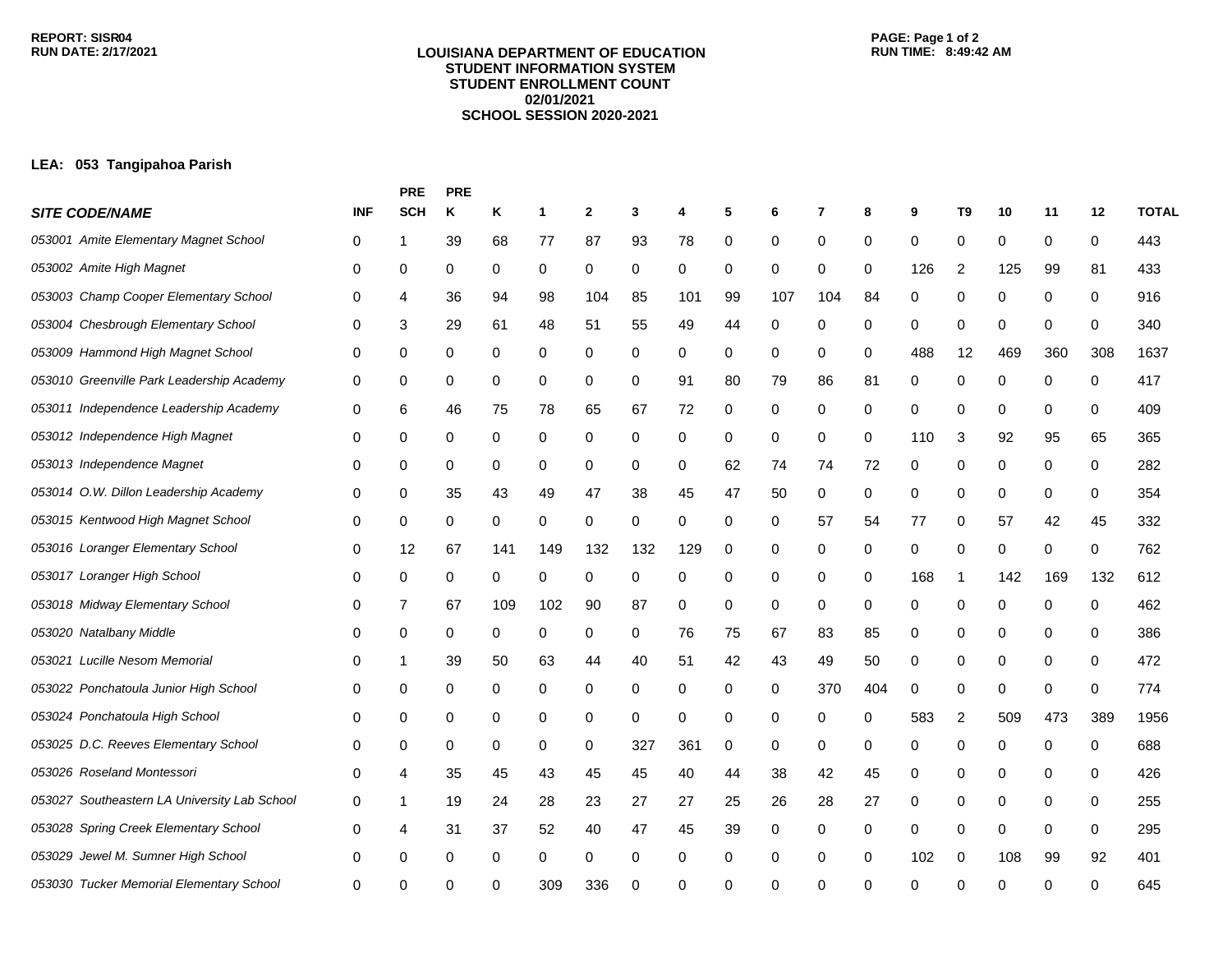#### **LOUISIANA DEPARTMENT OF EDUCATION STUDENT INFORMATION SYSTEM STUDENT ENROLLMENT COUNT 02/01/2021 SCHOOL SESSION 2020-2021**

# **PAGE: Page 1 of 2**

## **LEA: 053 Tangipahoa Parish**

|                                              |            | <b>PRE</b> | <b>PRE</b> |     |     |     |     |     |    |     |          |          |          |          |     |     |     |              |
|----------------------------------------------|------------|------------|------------|-----|-----|-----|-----|-----|----|-----|----------|----------|----------|----------|-----|-----|-----|--------------|
| <b>SITE CODE/NAME</b>                        | <b>INF</b> | <b>SCH</b> | Κ          | Κ   | 1   | 2   | 3   | 4   | 5  | 6   | 7        | 8        | 9        | T9       | 10  | 11  | 12  | <b>TOTAL</b> |
| 053001 Amite Elementary Magnet School        | 0          |            | 39         | 68  | 77  | 87  | 93  | 78  | 0  | 0   | 0        | 0        | 0        | 0        | 0   | 0   | 0   | 443          |
| 053002 Amite High Magnet                     | 0          | 0          | 0          | 0   | 0   | 0   | 0   | 0   | 0  | 0   | 0        | 0        | 126      | 2        | 125 | 99  | 81  | 433          |
| 053003 Champ Cooper Elementary School        | 0          | 4          | 36         | 94  | 98  | 104 | 85  | 101 | 99 | 107 | 104      | 84       | 0        | 0        | 0   | 0   | 0   | 916          |
| 053004 Chesbrough Elementary School          | 0          | 3          | 29         | 61  | 48  | 51  | 55  | 49  | 44 | 0   | 0        | 0        | 0        | 0        | 0   | 0   | 0   | 340          |
| 053009 Hammond High Magnet School            | 0          | 0          | 0          | 0   | 0   | 0   | 0   | 0   | 0  | 0   | 0        | 0        | 488      | 12       | 469 | 360 | 308 | 1637         |
| 053010 Greenville Park Leadership Academy    | 0          | 0          | 0          | 0   | 0   | 0   | 0   | 91  | 80 | 79  | 86       | 81       | 0        | 0        | 0   | 0   | 0   | 417          |
| 053011 Independence Leadership Academy       | 0          | 6          | 46         | 75  | 78  | 65  | 67  | 72  | 0  | 0   | 0        | 0        | 0        | 0        | 0   | 0   | 0   | 409          |
| 053012 Independence High Magnet              | 0          | 0          | 0          | 0   | 0   | 0   | 0   | 0   | 0  | 0   | 0        | 0        | 110      | 3        | 92  | 95  | 65  | 365          |
| 053013 Independence Magnet                   | 0          | 0          | 0          | 0   | 0   | 0   | 0   | 0   | 62 | 74  | 74       | 72       | 0        | 0        | 0   | 0   | 0   | 282          |
| 053014 O.W. Dillon Leadership Academy        | 0          | 0          | 35         | 43  | 49  | 47  | 38  | 45  | 47 | 50  | 0        | 0        | 0        | 0        | 0   | 0   | 0   | 354          |
| 053015 Kentwood High Magnet School           | 0          | 0          | 0          | 0   | 0   | 0   | 0   | 0   | 0  | 0   | 57       | 54       | 77       | 0        | 57  | 42  | 45  | 332          |
| 053016 Loranger Elementary School            | 0          | 12         | 67         | 141 | 149 | 132 | 132 | 129 | 0  | 0   | 0        | 0        | 0        | 0        | 0   | 0   | 0   | 762          |
| 053017 Loranger High School                  | 0          | 0          | 0          | 0   | 0   | 0   | 0   | 0   | 0  | 0   | 0        | 0        | 168      | -1       | 142 | 169 | 132 | 612          |
| 053018 Midway Elementary School              | 0          | 7          | 67         | 109 | 102 | 90  | 87  | 0   | 0  | 0   | 0        | 0        | 0        | 0        | 0   | 0   | 0   | 462          |
| 053020 Natalbany Middle                      | 0          | 0          | 0          | 0   | 0   | 0   | 0   | 76  | 75 | 67  | 83       | 85       | 0        | 0        | 0   | 0   | 0   | 386          |
| 053021 Lucille Nesom Memorial                | 0          | 1          | 39         | 50  | 63  | 44  | 40  | 51  | 42 | 43  | 49       | 50       | 0        | 0        | 0   | 0   | 0   | 472          |
| 053022 Ponchatoula Junior High School        | 0          | 0          | 0          | 0   | 0   | 0   | 0   | 0   | 0  | 0   | 370      | 404      | 0        | 0        | 0   | 0   | 0   | 774          |
| 053024 Ponchatoula High School               | 0          | 0          | 0          | 0   | 0   | 0   | 0   | 0   | 0  | 0   | 0        | 0        | 583      | 2        | 509 | 473 | 389 | 1956         |
| 053025 D.C. Reeves Elementary School         | 0          | 0          | 0          | 0   | 0   | 0   | 327 | 361 | 0  | 0   | 0        | 0        | 0        | 0        | 0   | 0   | 0   | 688          |
| 053026 Roseland Montessori                   | 0          | 4          | 35         | 45  | 43  | 45  | 45  | 40  | 44 | 38  | 42       | 45       | 0        | 0        | 0   | 0   | 0   | 426          |
| 053027 Southeastern LA University Lab School | 0          | 1          | 19         | 24  | 28  | 23  | 27  | 27  | 25 | 26  | 28       | 27       | 0        | 0        | 0   | 0   | 0   | 255          |
| 053028 Spring Creek Elementary School        | 0          | 4          | 31         | 37  | 52  | 40  | 47  | 45  | 39 | 0   | 0        | 0        | 0        | 0        | 0   | 0   | 0   | 295          |
| 053029 Jewel M. Sumner High School           | 0          | 0          | 0          | 0   | 0   | 0   | 0   | 0   | 0  | 0   | 0        | 0        | 102      | $\Omega$ | 108 | 99  | 92  | 401          |
| 053030 Tucker Memorial Elementary School     | 0          | ∩          | ∩          |     | 309 | 336 | O   | 0   | 0  | O   | $\Omega$ | $\Omega$ | $\Omega$ | ∩        | ∩   | U   |     | 645          |